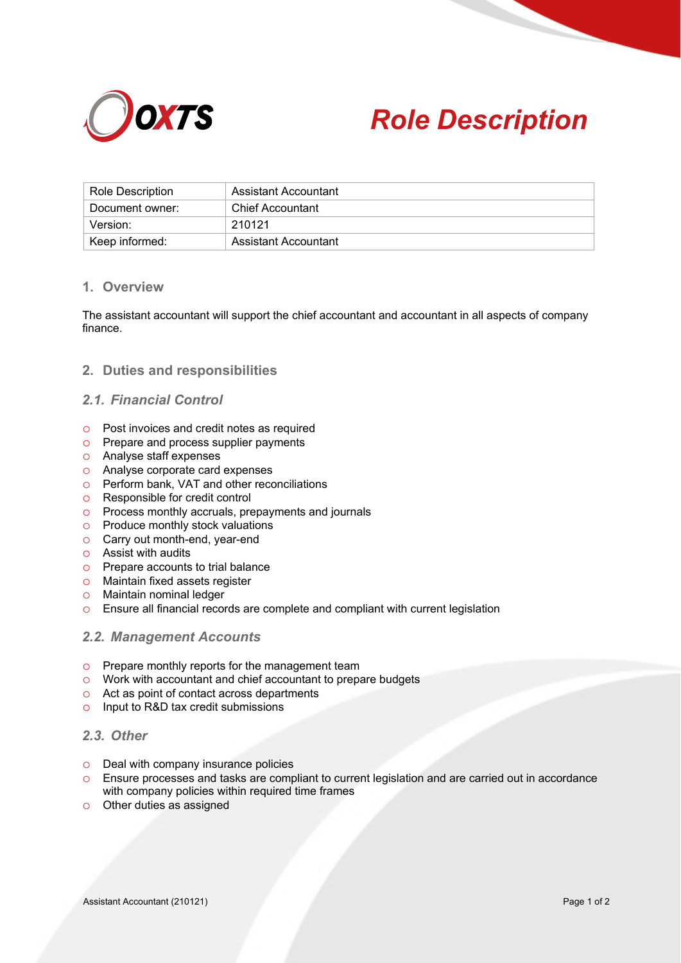



| Role Description | Assistant Accountant    |
|------------------|-------------------------|
| Document owner:  | <b>Chief Accountant</b> |
| Version:         | 210121                  |
| Keep informed:   | Assistant Accountant    |

## **1. Overview**

The assistant accountant will support the chief accountant and accountant in all aspects of company finance.

## **2. Duties and responsibilities**

# *2.1. Financial Control*

- o Post invoices and credit notes as required
- o Prepare and process supplier payments
- o Analyse staff expenses
- o Analyse corporate card expenses
- o Perform bank, VAT and other reconciliations
- o Responsible for credit control
- o Process monthly accruals, prepayments and journals
- o Produce monthly stock valuations
- o Carry out month-end, year-end
- o Assist with audits
- o Prepare accounts to trial balance
- o Maintain fixed assets register
- o Maintain nominal ledger
- o Ensure all financial records are complete and compliant with current legislation

#### *2.2. Management Accounts*

- o Prepare monthly reports for the management team
- o Work with accountant and chief accountant to prepare budgets
- o Act as point of contact across departments
- o Input to R&D tax credit submissions

# *2.3. Other*

- o Deal with company insurance policies
- o Ensure processes and tasks are compliant to current legislation and are carried out in accordance with company policies within required time frames
- o Other duties as assigned